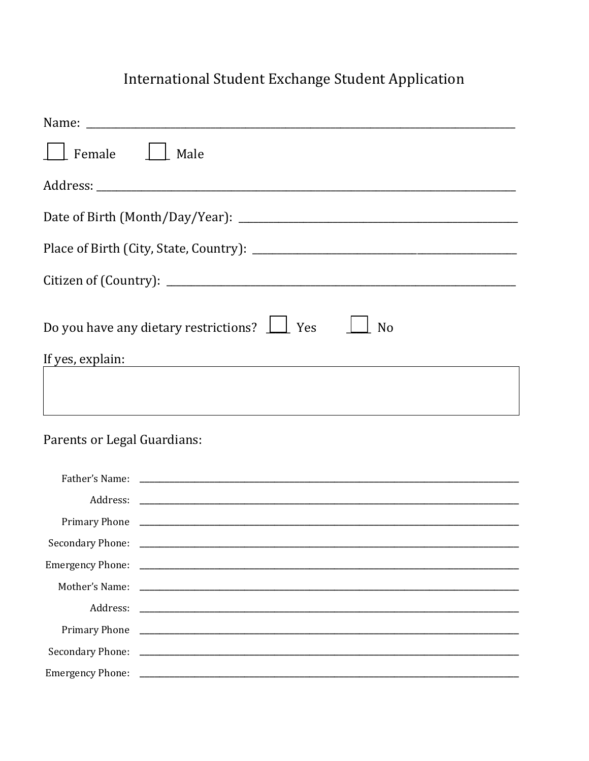## International Student Exchange Student Application

| Female    <br>Male                                                                                                                                                                                                                                                                                   |
|------------------------------------------------------------------------------------------------------------------------------------------------------------------------------------------------------------------------------------------------------------------------------------------------------|
|                                                                                                                                                                                                                                                                                                      |
|                                                                                                                                                                                                                                                                                                      |
|                                                                                                                                                                                                                                                                                                      |
|                                                                                                                                                                                                                                                                                                      |
| Do you have any dietary restrictions? $\Box$ Yes<br>N <sub>o</sub><br>If yes, explain: The set of the set of the set of the set of the set of the set of the set of the set of the set of the set of the set of the set of the set of the set of the set of the set of the set of the set of the set |
| ,我们也不会有一个人的人,我们也不会有一个人的人,我们也不会有一个人的人。""我们,我们也不会有一个人的人,我们也不会有一个人的人,我们也不会有一个人的人。""我                                                                                                                                                                                                                    |
| Parents or Legal Guardians:                                                                                                                                                                                                                                                                          |
|                                                                                                                                                                                                                                                                                                      |
|                                                                                                                                                                                                                                                                                                      |
|                                                                                                                                                                                                                                                                                                      |
| <b>Secondary Phone:</b>                                                                                                                                                                                                                                                                              |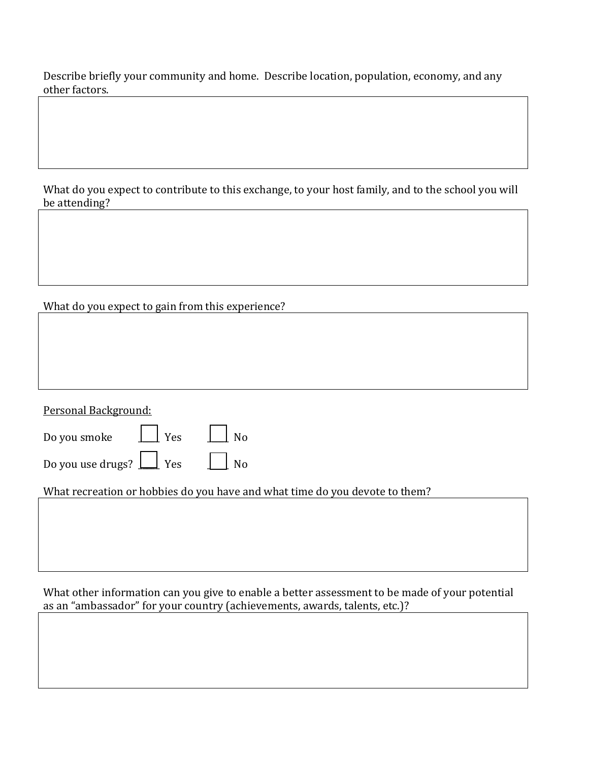Describe briefly your community and home. Describe location, population, economy, and any other factors.

What do you expect to contribute to this exchange, to your host family, and to the school you will be attending?

## What do you expect to gain from this experience?

| Personal Background:                                                        |
|-----------------------------------------------------------------------------|
| $\perp$ Yes<br>Do you smoke<br>N <sub>o</sub>                               |
| Do you use drugs? $\boxed{\underline{\qquad}}$ Yes<br>N <sub>o</sub>        |
| What recreation or hobbies do you have and what time do you devote to them? |
|                                                                             |
|                                                                             |
|                                                                             |

What other information can you give to enable a better assessment to be made of your potential as an "ambassador" for your country (achievements, awards, talents, etc.)?